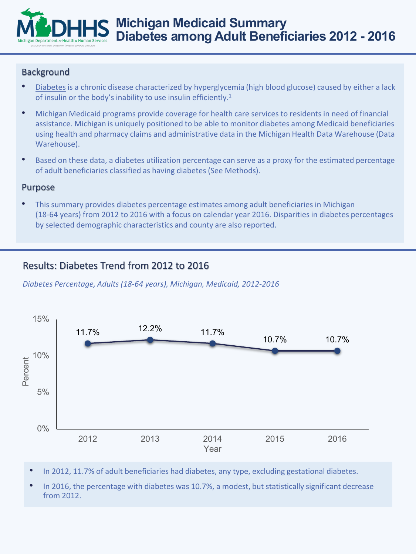# **Michigan Medicaid Summary Diabetes among Adult Beneficiaries 2012 - 2016**

### Background

- [Diabetes](https://www.cdc.gov/diabetes/library/glossary.html#d) is a chronic disease characterized by hyperglycemia (high blood glucose) caused by either a lack of insulin or the body's inability to use insulin efficiently.<sup>1</sup>
- Michigan Medicaid programs provide coverage for health care services to residents in need of financial assistance. Michigan is uniquely positioned to be able to monitor diabetes among Medicaid beneficiaries using health and pharmacy claims and administrative data in the Michigan Health Data Warehouse (Data Warehouse).
- Based on these data, a diabetes utilization percentage can serve as a proxy for the estimated percentage of adult beneficiaries classified as having diabetes (See Methods).

### Purpose

• This summary provides diabetes percentage estimates among adult beneficiaries in Michigan (18-64 years) from 2012 to 2016 with a focus on calendar year 2016. Disparities in diabetes percentages by selected demographic characteristics and county are also reported.

# Results: Diabetes Trend from 2012 to 2016

*Diabetes Percentage, Adults (18-64 years), Michigan, Medicaid, 2012-2016*



- In 2012, 11.7% of adult beneficiaries had diabetes, any type, excluding gestational diabetes.
- In 2016, the percentage with diabetes was 10.7%, a modest, but statistically significant decrease from 2012.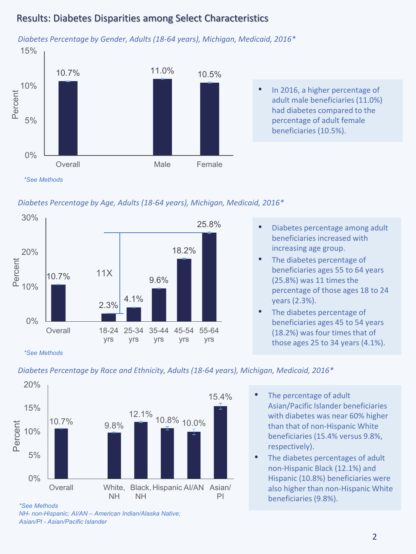# Results: Diabetes Disparities among Select Characteristics



*Diabetes Percentage by Gender, Adults (18-64 years), Michigan, Medicaid, 2016\**

#### *Diabetes Percentage by Age, Adults (18-64 years), Michigan, Medicaid, 2016\**



- Diabetes percentage among adult beneficiaries increased with increasing age group.
- The diabetes percentage of beneficiaries ages 55 to 64 years (25.8%) was 11 times the percentage of those ages 18 to 24 years (2.3%).
- The diabetes percentage of beneficiaries ages 45 to 54 years (18.2%) was four times that of those ages 25 to 34 years (4.1%).

*Diabetes Percentage by Race and Ethnicity, Adults (18-64 years), Michigan, Medicaid, 2016\**



- The percentage of adult Asian/Pacific Islander beneficiaries with diabetes was near 60% higher than that of non-Hispanic White beneficiaries (15.4% versus 9.8%, respectively).
- The diabetes percentages of adult non-Hispanic Black (12.1%) and Hispanic (10.8%) beneficiaries were also higher than non-Hispanic White beneficiaries (9.8%).

*<sup>\*</sup>See Methods*

*<sup>\*</sup>See Methods*

*NH- non-Hispanic; AI/AN – American Indian/Alaska Native; Asian/PI - Asian/Pacific Islander*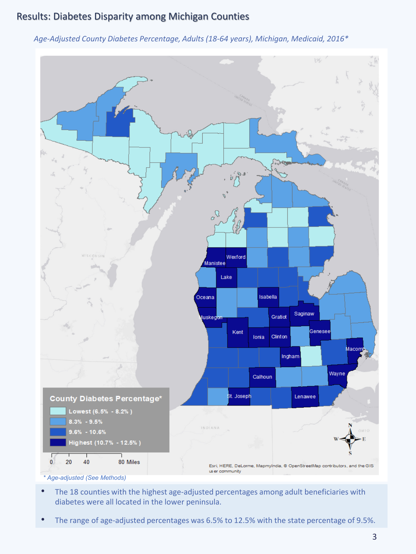### Results: Diabetes Disparity among Michigan Counties

#### *Age-Adjusted County Diabetes Percentage, Adults (18-64 years), Michigan, Medicaid, 2016\**



- The 18 counties with the highest age-adjusted percentages among adult beneficiaries with diabetes were all located in the lower peninsula.
- The range of age-adjusted percentages was 6.5% to 12.5% with the state percentage of 9.5%.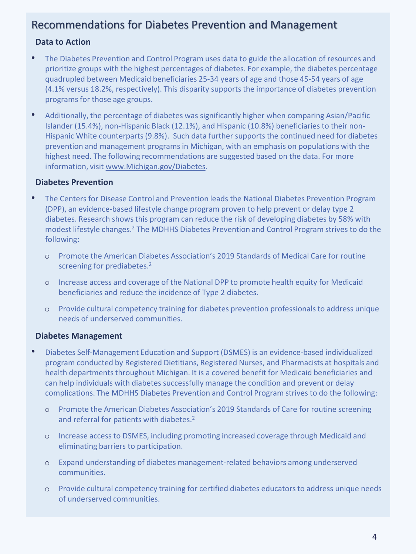# Recommendations for Diabetes Prevention and Management

### **Data to Action**

- The Diabetes Prevention and Control Program uses data to guide the allocation of resources and prioritize groups with the highest percentages of diabetes. For example, the diabetes percentage quadrupled between Medicaid beneficiaries 25-34 years of age and those 45-54 years of age (4.1% versus 18.2%, respectively). This disparity supports the importance of diabetes prevention programs for those age groups.
- Additionally, the percentage of diabetes was significantly higher when comparing Asian/Pacific Islander (15.4%), non-Hispanic Black (12.1%), and Hispanic (10.8%) beneficiaries to their non-Hispanic White counterparts (9.8%). Such data further supports the continued need for diabetes prevention and management programs in Michigan, with an emphasis on populations with the highest need. The following recommendations are suggested based on the data. For more information, visit [www.Michigan.gov/Diabetes.](http://www.michigan.gov/diabetes)

### **Diabetes Prevention**

- The Centers for Disease Control and Prevention leads the National Diabetes Prevention Program (DPP), an evidence-based lifestyle change program proven to help prevent or delay type 2 diabetes. Research shows this program can reduce the risk of developing diabetes by 58% with modest lifestyle changes.2 The MDHHS Diabetes Prevention and Control Program strives to do the following:
	- o Promote the American Diabetes Association's 2019 Standards of Medical Care for routine screening for prediabetes.<sup>2</sup>
	- o Increase access and coverage of the National DPP to promote health equity for Medicaid beneficiaries and reduce the incidence of Type 2 diabetes.
	- o Provide cultural competency training for diabetes prevention professionals to address unique needs of underserved communities.

### **Diabetes Management**

- Diabetes Self-Management Education and Support (DSMES) is an evidence-based individualized program conducted by Registered Dietitians, Registered Nurses, and Pharmacists at hospitals and health departments throughout Michigan. It is a covered benefit for Medicaid beneficiaries and can help individuals with diabetes successfully manage the condition and prevent or delay complications. The MDHHS Diabetes Prevention and Control Program strives to do the following:
	- o Promote the American Diabetes Association's 2019 Standards of Care for routine screening and referral for patients with diabetes.<sup>2</sup>
	- o Increase access to DSMES, including promoting increased coverage through Medicaid and eliminating barriers to participation.
	- o Expand understanding of diabetes management-related behaviors among underserved communities.
	- o Provide cultural competency training for certified diabetes educators to address unique needs of underserved communities.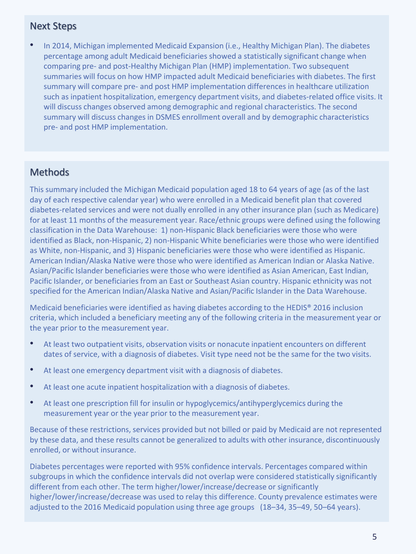### Next Steps

• In 2014, Michigan implemented Medicaid Expansion (i.e., Healthy Michigan Plan). The diabetes percentage among adult Medicaid beneficiaries showed a statistically significant change when comparing pre- and post-Healthy Michigan Plan (HMP) implementation. Two subsequent summaries will focus on how HMP impacted adult Medicaid beneficiaries with diabetes. The first summary will compare pre- and post HMP implementation differences in healthcare utilization such as inpatient hospitalization, emergency department visits, and diabetes-related office visits. It will discuss changes observed among demographic and regional characteristics. The second summary will discuss changes in DSMES enrollment overall and by demographic characteristics pre- and post HMP implementation.

# **Methods**

This summary included the Michigan Medicaid population aged 18 to 64 years of age (as of the last day of each respective calendar year) who were enrolled in a Medicaid benefit plan that covered diabetes-related services and were not dually enrolled in any other insurance plan (such as Medicare) for at least 11 months of the measurement year. Race/ethnic groups were defined using the following classification in the Data Warehouse: 1) non-Hispanic Black beneficiaries were those who were identified as Black, non-Hispanic, 2) non-Hispanic White beneficiaries were those who were identified as White, non-Hispanic, and 3) Hispanic beneficiaries were those who were identified as Hispanic. American Indian/Alaska Native were those who were identified as American Indian or Alaska Native. Asian/Pacific Islander beneficiaries were those who were identified as Asian American, East Indian, Pacific Islander, or beneficiaries from an East or Southeast Asian country. Hispanic ethnicity was not specified for the American Indian/Alaska Native and Asian/Pacific Islander in the Data Warehouse.

Medicaid beneficiaries were identified as having diabetes according to the HEDIS® 2016 inclusion criteria, which included a beneficiary meeting any of the following criteria in the measurement year or the year prior to the measurement year.

- At least two outpatient visits, observation visits or nonacute inpatient encounters on different dates of service, with a diagnosis of diabetes. Visit type need not be the same for the two visits.
- At least one emergency department visit with a diagnosis of diabetes.
- At least one acute inpatient hospitalization with a diagnosis of diabetes.
- At least one prescription fill for insulin or hypoglycemics/antihyperglycemics during the measurement year or the year prior to the measurement year.

Because of these restrictions, services provided but not billed or paid by Medicaid are not represented by these data, and these results cannot be generalized to adults with other insurance, discontinuously enrolled, or without insurance.

Diabetes percentages were reported with 95% confidence intervals. Percentages compared within subgroups in which the confidence intervals did not overlap were considered statistically significantly different from each other. The term higher/lower/increase/decrease or significantly higher/lower/increase/decrease was used to relay this difference. County prevalence estimates were adjusted to the 2016 Medicaid population using three age groups (18–34, 35–49, 50–64 years).